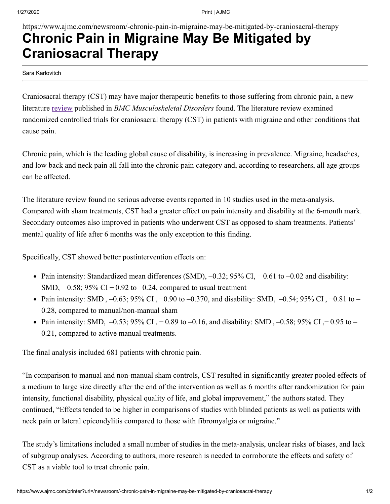https://www.ajmc.com/newsroom/-chronic-pain-in-migraine-may-be-mitigated-by-craniosacral-therapy

## **Chronic Pain in Migraine May Be Mitigated by Craniosacral Therapy**

Sara Karlovitch

Craniosacral therapy (CST) may have major therapeutic benefits to those suffering from chronic pain, a new literature [review](https://bmcmusculoskeletdisord.biomedcentral.com/articles/10.1186/s12891-019-3017-y) published in *BMC Musculoskeletal Disorders* found. The literature review examined randomized controlled trials for craniosacral therapy (CST) in patients with migraine and other conditions that cause pain.

Chronic pain, which is the leading global cause of disability, is increasing in prevalence. Migraine, headaches, and low back and neck pain all fall into the chronic pain category and, according to researchers, all age groups can be affected.

The literature review found no serious adverse events reported in 10 studies used in the meta-analysis. Compared with sham treatments, CST had a greater effect on pain intensity and disability at the 6-month mark. Secondary outcomes also improved in patients who underwent CST as opposed to sham treatments. Patients' mental quality of life after 6 months was the only exception to this finding.

Specifically, CST showed better postintervention effects on:

- Pain intensity: Standardized mean differences (SMD), –0.32; 95% CI, − 0.61 to –0.02 and disability: SMD,  $-0.58$ ; 95% CI $-0.92$  to  $-0.24$ , compared to usual treatment
- Pain intensity: SMD, -0.63; 95% CI, -0.90 to -0.370, and disability: SMD, -0.54; 95% CI, -0.81 to 0.28, compared to manual/non-manual sham
- Pain intensity: SMD,  $-0.53$ ; 95% CI,  $-0.89$  to  $-0.16$ , and disability: SMD,  $-0.58$ ; 95% CI,  $-0.95$  to 0.21, compared to active manual treatments.

The final analysis included 681 patients with chronic pain.

"In comparison to manual and non-manual sham controls, CST resulted in significantly greater pooled effects of a medium to large size directly after the end of the intervention as well as 6 months after randomization for pain intensity, functional disability, physical quality of life, and global improvement," the authors stated. They continued, "Effects tended to be higher in comparisons of studies with blinded patients as well as patients with neck pain or lateral epicondylitis compared to those with fibromyalgia or migraine."

The study's limitations included a small number of studies in the meta-analysis, unclear risks of biases, and lack of subgroup analyses. According to authors, more research is needed to corroborate the effects and safety of CST as a viable tool to treat chronic pain.